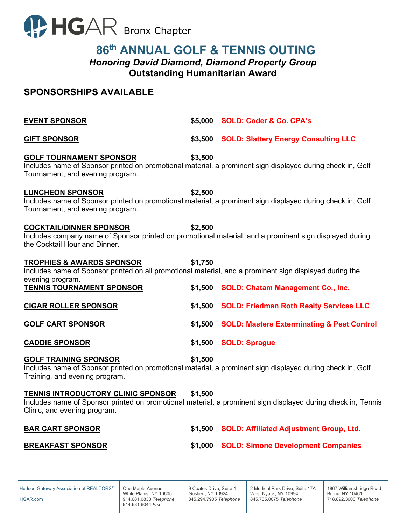

# **86th ANNUAL GOLF & TENNIS OUTING** *Honoring David Diamond, Diamond Property Group* **Outstanding Humanitarian Award**

## **SPONSORSHIPS AVAILABLE**

| <b>EVENT SPONSOR</b>                                                                                                                                                               |         | \$5,000 SOLD: Coder & Co. CPA's                       |
|------------------------------------------------------------------------------------------------------------------------------------------------------------------------------------|---------|-------------------------------------------------------|
| <b>GIFT SPONSOR</b>                                                                                                                                                                | \$3,500 | <b>SOLD: Slattery Energy Consulting LLC</b>           |
| <b>GOLF TOURNAMENT SPONSOR</b><br>Includes name of Sponsor printed on promotional material, a prominent sign displayed during check in, Golf<br>Tournament, and evening program.   | \$3,500 |                                                       |
| <b>LUNCHEON SPONSOR</b><br>Includes name of Sponsor printed on promotional material, a prominent sign displayed during check in, Golf<br>Tournament, and evening program.          | \$2,500 |                                                       |
| <b>COCKTAIL/DINNER SPONSOR</b><br>Includes company name of Sponsor printed on promotional material, and a prominent sign displayed during<br>the Cocktail Hour and Dinner.         | \$2,500 |                                                       |
| <b>TROPHIES &amp; AWARDS SPONSOR</b><br>Includes name of Sponsor printed on all promotional material, and a prominent sign displayed during the<br>evening program.                | \$1,750 |                                                       |
| <b>TENNIS TOURNAMENT SPONSOR</b>                                                                                                                                                   | \$1,500 | <b>SOLD: Chatam Management Co., Inc.</b>              |
| <b>CIGAR ROLLER SPONSOR</b>                                                                                                                                                        | \$1,500 | <b>SOLD: Friedman Roth Realty Services LLC</b>        |
| <b>GOLF CART SPONSOR</b>                                                                                                                                                           | \$1,500 | <b>SOLD: Masters Exterminating &amp; Pest Control</b> |
| <b>CADDIE SPONSOR</b>                                                                                                                                                              | \$1,500 | <b>SOLD: Sprague</b>                                  |
| <b>GOLF TRAINING SPONSOR</b><br>Includes name of Sponsor printed on promotional material, a prominent sign displayed during check in, Golf<br>Training, and evening program.       | \$1,500 |                                                       |
| TENNIS INTRODUCTORY CLINIC SPONSOR<br>Includes name of Sponsor printed on promotional material, a prominent sign displayed during check in, Tennis<br>Clinic, and evening program. | \$1,500 |                                                       |
| <b>BAR CART SPONSOR</b>                                                                                                                                                            | \$1,500 | <b>SOLD: Affiliated Adjustment Group, Ltd.</b>        |
| <b>BREAKFAST SPONSOR</b>                                                                                                                                                           | \$1,000 | <b>SOLD: Simone Development Companies</b>             |